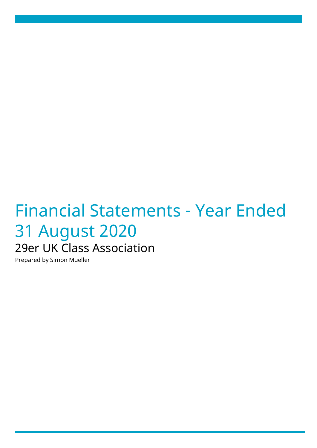# Financial Statements - Year Ended 31 August 2020 29er UK Class Association

Prepared by Simon Mueller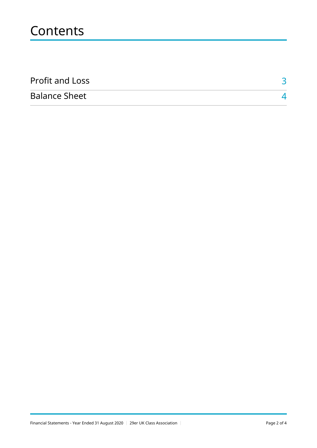## **Contents**

| <b>Profit and Loss</b> |  |
|------------------------|--|
| <b>Balance Sheet</b>   |  |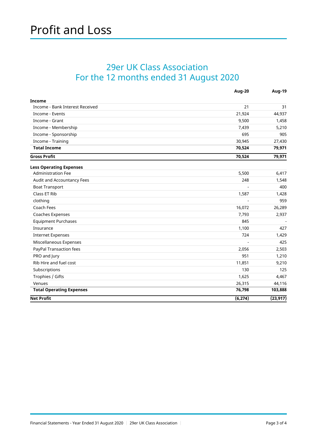#### <span id="page-2-0"></span>29er UK Class Association For the 12 months ended 31 August 2020

|                                 | <b>Aug-20</b> | <b>Aug-19</b> |
|---------------------------------|---------------|---------------|
| <b>Income</b>                   |               |               |
| Income - Bank Interest Received | 21            | 31            |
| Income - Events                 | 21,924        | 44,937        |
| Income - Grant                  | 9,500         | 1,458         |
| Income - Membership             | 7,439         | 5,210         |
| Income - Sponsorship            | 695           | 905           |
| Income - Training               | 30,945        | 27,430        |
| <b>Total Income</b>             | 70,524        | 79,971        |
| <b>Gross Profit</b>             | 70,524        | 79,971        |
| <b>Less Operating Expenses</b>  |               |               |
| <b>Administration Fee</b>       | 5,500         | 6,417         |
| Audit and Accountancy Fees      | 248           | 1,548         |
| <b>Boat Transport</b>           |               | 400           |
| Class ET Rib                    | 1,587         | 1,428         |
| clothing                        |               | 959           |
| Coach Fees                      | 16,072        | 26,289        |
| Coaches Expenses                | 7,793         | 2,937         |
| <b>Equipment Purchases</b>      | 845           |               |
| Insurance                       | 1,100         | 427           |
| <b>Internet Expenses</b>        | 724           | 1,429         |
| Miscellaneous Expenses          |               | 425           |
| PayPal Transaction fees         | 2,056         | 2,503         |
| PRO and Jury                    | 951           | 1,210         |
| Rib Hire and fuel cost          | 11,851        | 9,210         |
| Subscriptions                   | 130           | 125           |
| Trophies / Gifts                | 1,625         | 4,467         |
| Venues                          | 26,315        | 44,116        |
| <b>Total Operating Expenses</b> | 76,798        | 103,888       |
| <b>Net Profit</b>               | (6, 274)      | (23, 917)     |